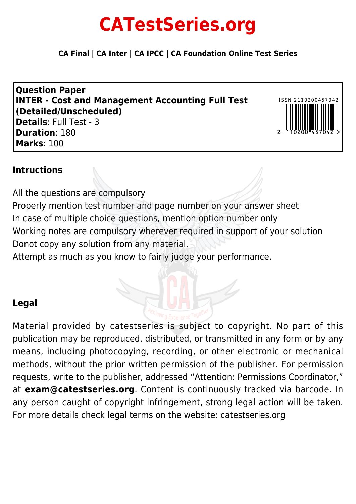# **CATestSeries.org**

**CA Final | CA Inter | CA IPCC | CA Foundation Online Test Series**

**Question Paper INTER - Cost and Management Accounting Full Test (Detailed/Unscheduled) Details**: Full Test - 3 **Duration**: 180 **Marks**: 100



# **Intructions**

All the questions are compulsory Properly mention test number and page number on your answer sheet In case of multiple choice questions, mention option number only Working notes are compulsory wherever required in support of your solution Donot copy any solution from any material.

Attempt as much as you know to fairly judge your performance.

# **Legal**

Material provided by catestseries is subject to copyright. No part of this publication may be reproduced, distributed, or transmitted in any form or by any

means, including photocopying, recording, or other electronic or mechanical methods, without the prior written permission of the publisher. For permission requests, write to the publisher, addressed "Attention: Permissions Coordinator," at **exam@catestseries.org**. Content is continuously tracked via barcode. In any person caught of copyright infringement, strong legal action will be taken. For more details check legal terms on the website: catestseries.org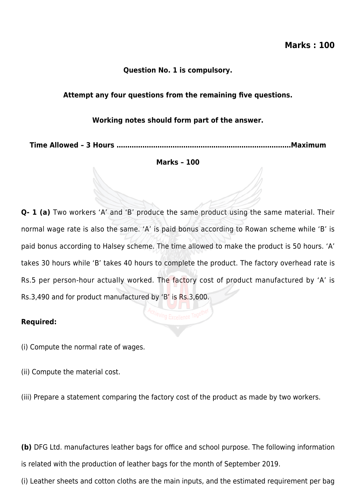#### **Question No. 1 is compulsory.**

#### **Attempt any four questions from the remaining five questions.**

#### **Working notes should form part of the answer.**

**Time Allowed – 3 Hours ………………………………………………………………………Maximum**

#### **Marks – 100**

**Q- 1 (a)** Two workers 'A' and 'B' produce the same product using the same material. Their normal wage rate is also the same. 'A' is paid bonus according to Rowan scheme while 'B' is paid bonus according to Halsey scheme. The time allowed to make the product is 50 hours. 'A' takes 30 hours while 'B' takes 40 hours to complete the product. The factory overhead rate is Rs.5 per person-hour actually worked. The factory cost of product manufactured by 'A' is Rs.3,490 and for product manufactured by 'B' is Rs.3,600.

#### **Required:**

(i) Compute the normal rate of wages.

(ii) Compute the material cost.

(iii) Prepare a statement comparing the factory cost of the product as made by two workers.

**(b)** DFG Ltd. manufactures leather bags for office and school purpose. The following information is related with the production of leather bags for the month of September 2019.

(i) Leather sheets and cotton cloths are the main inputs, and the estimated requirement per bag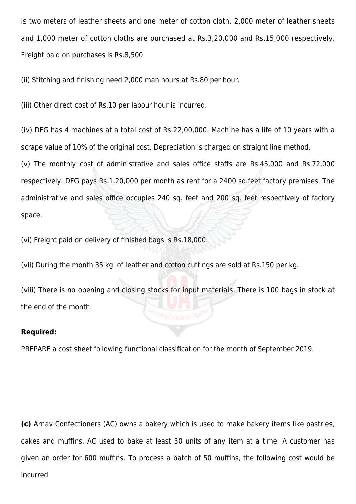is two meters of leather sheets and one meter of cotton cloth. 2,000 meter of leather sheets and 1,000 meter of cotton cloths are purchased at Rs.3,20,000 and Rs.15,000 respectively. Freight paid on purchases is Rs.8,500.

(ii) Stitching and finishing need 2,000 man hours at Rs.80 per hour.

(iii) Other direct cost of Rs.10 per labour hour is incurred.

(iv) DFG has 4 machines at a total cost of Rs.22,00,000. Machine has a life of 10 years with a scrape value of 10% of the original cost. Depreciation is charged on straight line method.

(v) The monthly cost of administrative and sales office staffs are Rs.45,000 and Rs.72,000 respectively. DFG pays Rs.1,20,000 per month as rent for a 2400 sq.feet factory premises. The administrative and sales office occupies 240 sq. feet and 200 sq. feet respectively of factory space.

(vi) Freight paid on delivery of finished bags is Rs.18,000.

(vii) During the month 35 kg. of leather and cotton cuttings are sold at Rs.150 per kg.

(viii) There is no opening and closing stocks for input materials. There is 100 bags in stock at the end of the month.

#### **Required:**

PREPARE a cost sheet following functional classification for the month of September 2019.

**(c)** Arnav Confectioners (AC) owns a bakery which is used to make bakery items like pastries, cakes and muffins. AC used to bake at least 50 units of any item at a time. A customer has given an order for 600 muffins. To process a batch of 50 muffins, the following cost would be incurred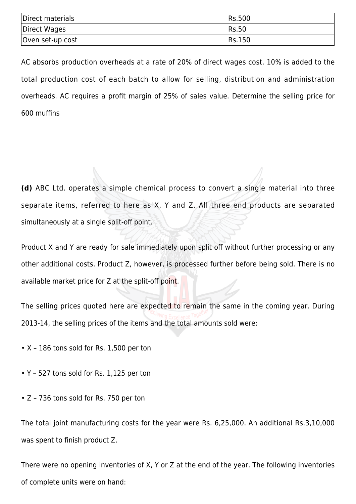| Direct materials | <b>IRs.500</b> |
|------------------|----------------|
| Direct Wages     | <b>IRs.50</b>  |
| Oven set-up cost | Rs.150         |

AC absorbs production overheads at a rate of 20% of direct wages cost. 10% is added to the total production cost of each batch to allow for selling, distribution and administration overheads. AC requires a profit margin of 25% of sales value. Determine the selling price for 600 muffins

**(d)** ABC Ltd. operates a simple chemical process to convert a single material into three separate items, referred to here as X, Y and Z. All three end products are separated simultaneously at a single split-off point.

Product X and Y are ready for sale immediately upon split off without further processing or any other additional costs. Product Z, however, is processed further before being sold. There is no available market price for Z at the split-off point.

The selling prices quoted here are expected to remain the same in the coming year. During 2013-14, the selling prices of the items and the total amounts sold were:

- X 186 tons sold for Rs. 1,500 per ton
- Y 527 tons sold for Rs. 1,125 per ton
- Z 736 tons sold for Rs. 750 per ton

The total joint manufacturing costs for the year were Rs. 6,25,000. An additional Rs.3,10,000 was spent to finish product Z.

There were no opening inventories of X, Y or Z at the end of the year. The following inventories of complete units were on hand: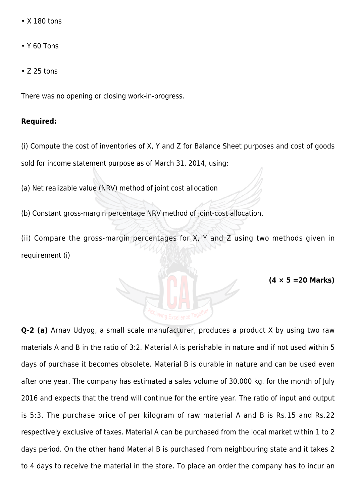- X 180 tons
- Y 60 Tons
- Z 25 tons

There was no opening or closing work-in-progress.

#### **Required:**

(i) Compute the cost of inventories of X, Y and Z for Balance Sheet purposes and cost of goods sold for income statement purpose as of March 31, 2014, using:

(a) Net realizable value (NRV) method of joint cost allocation

(b) Constant gross-margin percentage NRV method of joint-cost allocation.

(ii) Compare the gross-margin percentages for X, Y and Z using two methods given in requirement (i)

**(4 × 5 =20 Marks)**

**Q-2 (a)** Arnav Udyog, a small scale manufacturer, produces a product X by using two raw materials A and B in the ratio of 3:2. Material A is perishable in nature and if not used within 5 days of purchase it becomes obsolete. Material B is durable in nature and can be used even after one year. The company has estimated a sales volume of 30,000 kg. for the month of July 2016 and expects that the trend will continue for the entire year. The ratio of input and output is 5:3. The purchase price of per kilogram of raw material A and B is Rs.15 and Rs.22 respectively exclusive of taxes. Material A can be purchased from the local market within 1 to 2 days period. On the other hand Material B is purchased from neighbouring state and it takes 2 to 4 days to receive the material in the store. To place an order the company has to incur an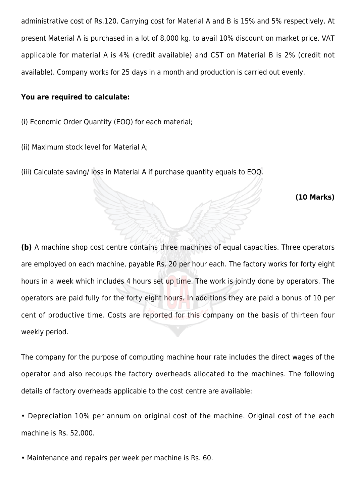administrative cost of Rs.120. Carrying cost for Material A and B is 15% and 5% respectively. At present Material A is purchased in a lot of 8,000 kg. to avail 10% discount on market price. VAT applicable for material A is 4% (credit available) and CST on Material B is 2% (credit not available). Company works for 25 days in a month and production is carried out evenly.

#### **You are required to calculate:**

- (i) Economic Order Quantity (EOQ) for each material;
- (ii) Maximum stock level for Material A;
- (iii) Calculate saving/ loss in Material A if purchase quantity equals to EOQ.

#### **(10 Marks)**

**(b)** A machine shop cost centre contains three machines of equal capacities. Three operators are employed on each machine, payable Rs. 20 per hour each. The factory works for forty eight hours in a week which includes 4 hours set up time. The work is jointly done by operators. The operators are paid fully for the forty eight hours. In additions they are paid a bonus of 10 per cent of productive time. Costs are reported for this company on the basis of thirteen four weekly period.

The company for the purpose of computing machine hour rate includes the direct wages of the operator and also recoups the factory overheads allocated to the machines. The following details of factory overheads applicable to the cost centre are available:

• Depreciation 10% per annum on original cost of the machine. Original cost of the each machine is Rs. 52,000.

• Maintenance and repairs per week per machine is Rs. 60.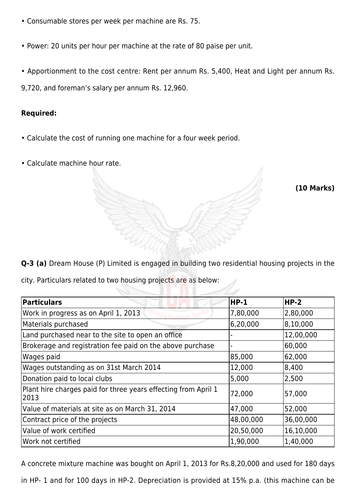- Consumable stores per week per machine are Rs. 75.
- Power: 20 units per hour per machine at the rate of 80 paise per unit.
- Apportionment to the cost centre: Rent per annum Rs. 5,400, Heat and Light per annum Rs.

9,720, and foreman's salary per annum Rs. 12,960.

## **Required:**

- Calculate the cost of running one machine for a four week period.
- Calculate machine hour rate.

**(10 Marks)**

**Q-3 (a)** Dream House (P) Limited is engaged in building two residential housing projects in the

city. Particulars related to two housing projects are as below:

| <b>Particulars</b>                                                     | <b>HP-1</b> | <b>HP-2</b> |
|------------------------------------------------------------------------|-------------|-------------|
| Work in progress as on April 1, 2013                                   | 7,80,000    | 2,80,000    |
| Materials purchased                                                    | 6,20,000    | 8,10,000    |
| Land purchased near to the site to open an office                      |             | 12,00,000   |
| Brokerage and registration fee paid on the above purchase              |             | 60,000      |
| Wages paid                                                             | 85,000      | 62,000      |
| Wages outstanding as on 31st March 2014                                | 12,000      | 8,400       |
| Donation paid to local clubs                                           | 5,000       | 2,500       |
| Plant hire charges paid for three years effecting from April 1<br>2013 | 72,000      | 57,000      |
| Value of materials at site as on March 31, 2014                        | 47,000      | 52,000      |
| Contract price of the projects                                         | 48,00,000   | 36,00,000   |
| Value of work certified                                                | 20,50,000   | 16,10,000   |
| Work not certified                                                     | 1,90,000    | 1,40,000    |

A concrete mixture machine was bought on April 1, 2013 for Rs.8,20,000 and used for 180 days

in HP- 1 and for 100 days in HP-2. Depreciation is provided at 15% p.a. (this machine can be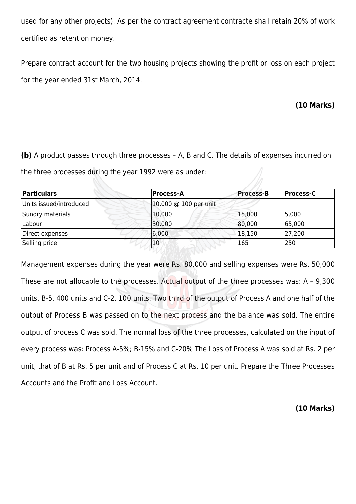used for any other projects). As per the contract agreement contracte shall retain 20% of work certified as retention money.

Prepare contract account for the two housing projects showing the profit or loss on each project for the year ended 31st March, 2014.

# **(10 Marks)**

**(b)** A product passes through three processes – A, B and C. The details of expenses incurred on the three processes during the year 1992 were as under:

| Particulars             | Process-A             | <b>Process-B</b> | Process-C |
|-------------------------|-----------------------|------------------|-----------|
| Units issued/introduced | 10,000 @ 100 per unit |                  |           |
| Sundry materials        | 10,000                | 15,000           | 5,000     |
| Labour                  | 30,000                | 80,000           | 65,000    |
| Direct expenses         | 6,000                 | 18,150           | 27,200    |
| Selling price           | 10                    | 165              | 250       |

Management expenses during the year were Rs. 80,000 and selling expenses were Rs. 50,000 These are not allocable to the processes. Actual output of the three processes was: A - 9,300 units, B-5, 400 units and C-2, 100 units. Two third of the output of Process A and one half of the output of Process B was passed on to the next process and the balance was sold. The entire output of process C was sold. The normal loss of the three processes, calculated on the input of every process was: Process A-5%; B-15% and C-20% The Loss of Process A was sold at Rs. 2 per unit, that of B at Rs. 5 per unit and of Process C at Rs. 10 per unit. Prepare the Three Processes Accounts and the Profit and Loss Account.

#### **(10 Marks)**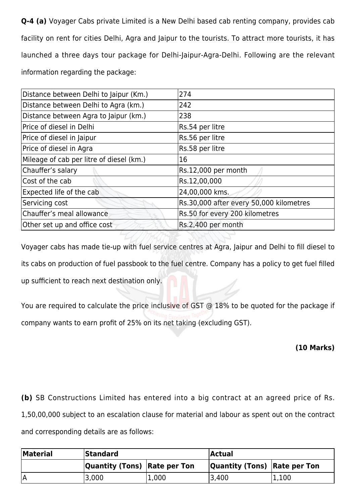**Q-4 (a)** Voyager Cabs private Limited is a New Delhi based cab renting company, provides cab facility on rent for cities Delhi, Agra and Jaipur to the tourists. To attract more tourists, it has launched a three days tour package for Delhi-Jaipur-Agra-Delhi. Following are the relevant information regarding the package:

| Distance between Delhi to Jaipur (Km.)   | 274                                     |
|------------------------------------------|-----------------------------------------|
| Distance between Delhi to Agra (km.)     | 242                                     |
| Distance between Agra to Jaipur (km.)    | 238                                     |
| Price of diesel in Delhi                 | Rs.54 per litre                         |
| Price of diesel in Jaipur                | Rs.56 per litre                         |
| Price of diesel in Agra                  | Rs.58 per litre                         |
| Mileage of cab per litre of diesel (km.) | 16                                      |
| Chauffer's salary                        | Rs.12,000 per month                     |
| Cost of the cab                          | Rs.12,00,000                            |
| Expected life of the cab                 | 24,00,000 kms.                          |
| Servicing cost                           | Rs.30,000 after every 50,000 kilometres |
| Chauffer's meal allowance                | Rs.50 for every 200 kilometres          |
| Other set up and office cost             | Rs.2,400 per month                      |

Voyager cabs has made tie-up with fuel service centres at Agra, Jaipur and Delhi to fill diesel to its cabs on production of fuel passbook to the fuel centre. Company has a policy to get fuel filled up sufficient to reach next destination only.

You are required to calculate the price inclusive of GST @ 18% to be quoted for the package if company wants to earn profit of 25% on its net taking (excluding GST).

## **(10 Marks)**

**(b)** SB Constructions Limited has entered into a big contract at an agreed price of Rs. 1,50,00,000 subject to an escalation clause for material and labour as spent out on the contract and corresponding details are as follows:

| <b>Material</b> | <b>Standard</b>                     |       | Actual                       |       |
|-----------------|-------------------------------------|-------|------------------------------|-------|
|                 | <b>Quantity (Tons) Rate per Ton</b> |       | Quantity (Tons) Rate per Ton |       |
|                 | 3,000                               | 1,000 | 3,400                        | 1,100 |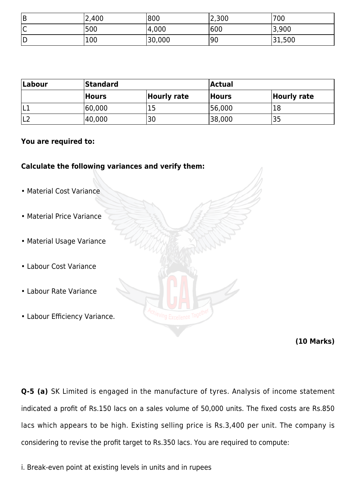| B  | 2,400 | 1800   | 2,300 | 700    |
|----|-------|--------|-------|--------|
| IС | 500   | 4,000  | 600   | 3,900  |
| D  | 100   | 30,000 | '90   | 31,500 |

| Labour | <b>Standard</b> |             | <b>Actual</b> |                    |
|--------|-----------------|-------------|---------------|--------------------|
|        | Hours           | Hourly rate | <b>Hours</b>  | <b>Hourly rate</b> |
| ΙLΊ    | 60,000          |             | 56,000        |                    |
| L2     | 40,000          | 30          | 38,000        |                    |

#### **You are required to:**

## **Calculate the following variances and verify them:**

- Material Cost Variance
- Material Price Variance
- Material Usage Variance
- Labour Cost Variance
- Labour Rate Variance
- Labour Efficiency Variance.

#### **(10 Marks)**

**Q-5 (a)** SK Limited is engaged in the manufacture of tyres. Analysis of income statement indicated a profit of Rs.150 lacs on a sales volume of 50,000 units. The fixed costs are Rs.850 lacs which appears to be high. Existing selling price is Rs.3,400 per unit. The company is considering to revise the profit target to Rs.350 lacs. You are required to compute:

i. Break-even point at existing levels in units and in rupees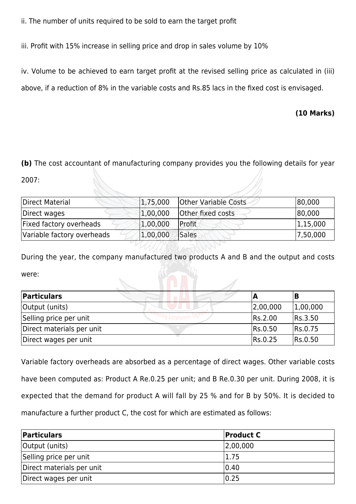ii. The number of units required to be sold to earn the target profit

iii. Profit with 15% increase in selling price and drop in sales volume by 10%

iv. Volume to be achieved to earn target profit at the revised selling price as calculated in (iii) above, if a reduction of 8% in the variable costs and Rs.85 lacs in the fixed cost is envisaged.

# **(10 Marks)**

**(b)** The cost accountant of manufacturing company provides you the following details for year

2007:

| Direct Material            | 1,75,000 | <b>Other Variable Costs</b> | 80,000   |
|----------------------------|----------|-----------------------------|----------|
| Direct wages               | 1,00,000 | Other fixed costs           | 80,000   |
| Fixed factory overheads    | 1,00,000 | Profit                      | 1,15,000 |
| Variable factory overheads | 1,00,000 | Sales                       | 7,50,000 |

During the year, the company manufactured two products A and B and the output and costs were:

| Particulars               |          |          |
|---------------------------|----------|----------|
| Output (units)            | 2,00,000 | 1,00,000 |
| Selling price per unit    | Rs.2.00  | Rs.3.50  |
| Direct materials per unit | Rs.0.50  | Rs.0.75  |
| Direct wages per unit     | Rs.0.25  | Rs.0.50  |

Variable factory overheads are absorbed as a percentage of direct wages. Other variable costs have been computed as: Product A Re.0.25 per unit; and B Re.0.30 per unit. During 2008, it is expected that the demand for product A will fall by 25 % and for B by 50%. It is decided to manufacture a further product C, the cost for which are estimated as follows:

| Particulars               | <b>Product C</b> |
|---------------------------|------------------|
| Output (units)            | 2,00,000         |
| Selling price per unit    | 1.75             |
| Direct materials per unit | 0.40             |
| Direct wages per unit     | 0.25             |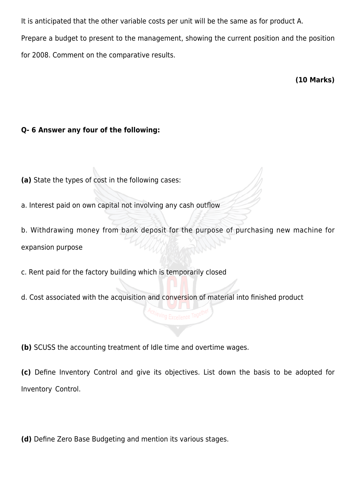It is anticipated that the other variable costs per unit will be the same as for product A. Prepare a budget to present to the management, showing the current position and the position for 2008. Comment on the comparative results.

**(10 Marks)**

# **Q- 6 Answer any four of the following:**

- **(a)** State the types of cost in the following cases:
- a. Interest paid on own capital not involving any cash outflow
- b. Withdrawing money from bank deposit for the purpose of purchasing new machine for expansion purpose
- c. Rent paid for the factory building which is temporarily closed
- d. Cost associated with the acquisition and conversion of material into finished product

**(b)** SCUSS the accounting treatment of Idle time and overtime wages.

**(c)** Define Inventory Control and give its objectives. List down the basis to be adopted for Inventory Control.

**(d)** Define Zero Base Budgeting and mention its various stages.